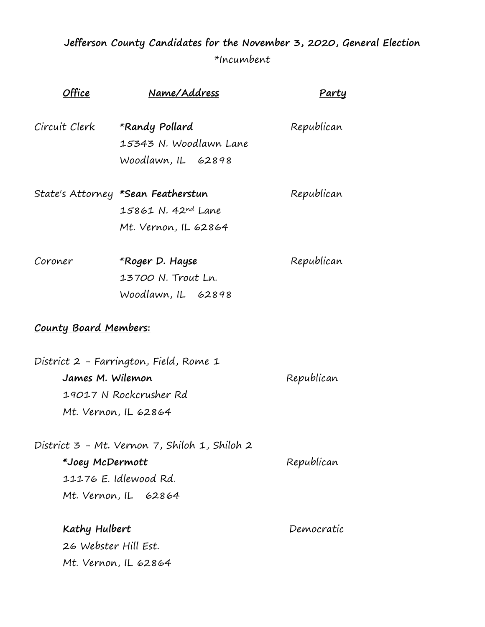## **Jefferson County Candidates for the November 3, 2020, General Election**  \*Incumbent

| <b>Office</b>                | Name/Address                                  | Partu      |
|------------------------------|-----------------------------------------------|------------|
| Circuit Clerk                | *Randy Pollard                                | Republican |
|                              | 15343 N. Woodlawn Lane                        |            |
|                              | Woodlawn, IL 62898                            |            |
|                              | State's Attorney *Sean Featherstun            | Republican |
|                              | 15861 N. 42nd Lane                            |            |
|                              | Mt. Vernon, IL 62864                          |            |
| Coroner                      | *Roger D. Hayse                               | Republican |
|                              | 13700 N. Trout Ln.                            |            |
|                              | Woodlawn, IL 62898                            |            |
| <u>County Board Members:</u> |                                               |            |
|                              | District 2 - Farrington, Field, Rome 1        |            |
| James M. Wilemon             |                                               | Republican |
| 19017 N Rockcrusher Rd       |                                               |            |
| Mt. Vernon, IL 62864         |                                               |            |
|                              | District 3 - Mt. Vernon 7, Shiloh 1, Shiloh 2 |            |
| *Joey McDermott              |                                               | Republican |
| 11176 E. Idlewood Rd.        |                                               |            |
|                              | Mt. Vernon, IL 62864                          |            |
| Kathy Hulbert                |                                               | Democratic |
| 26 Webster Hill Est.         |                                               |            |
| Mt. Vernon, IL 62864         |                                               |            |